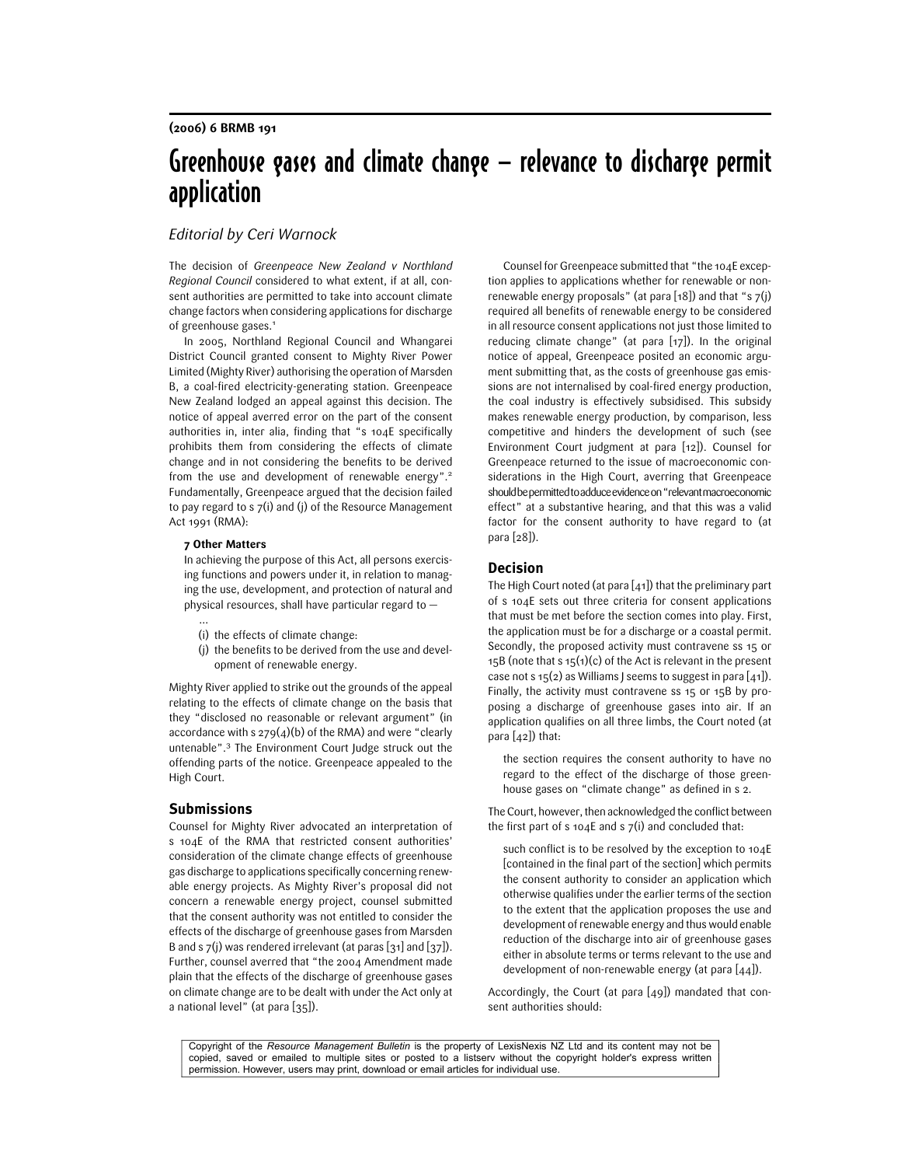# Greenhouse gases and climate change — relevance to discharge permit application

# Editorial by Ceri Warnock

The decision of Greenpeace New Zealand v Northland Regional Council considered to what extent, if at all, consent authorities are permitted to take into account climate change factors when considering applications for discharge of greenhouse gases.1

In 2005, Northland Regional Council and Whangarei District Council granted consent to Mighty River Power Limited (Mighty River) authorising the operation of Marsden B, a coal-fired electricity-generating station. Greenpeace New Zealand lodged an appeal against this decision. The notice of appeal averred error on the part of the consent authorities in, inter alia, finding that "s 104E specifically prohibits them from considering the effects of climate change and in not considering the benefits to be derived from the use and development of renewable energy".<sup>2</sup> Fundamentally, Greenpeace argued that the decision failed to pay regard to s 7(i) and (j) of the Resource Management Act 1991 (RMA):

#### 7 Other Matters

…

In achieving the purpose of this Act, all persons exercising functions and powers under it, in relation to managing the use, development, and protection of natural and physical resources, shall have particular regard to —

- (i) the effects of climate change:
- (j) the benefits to be derived from the use and development of renewable energy.

Mighty River applied to strike out the grounds of the appeal relating to the effects of climate change on the basis that they "disclosed no reasonable or relevant argument" (in accordance with  $s$  279(4)(b) of the RMA) and were "clearly untenable".3 The Environment Court Judge struck out the offending parts of the notice. Greenpeace appealed to the High Court.

#### **Submissions**

Counsel for Mighty River advocated an interpretation of s 104E of the RMA that restricted consent authorities' consideration of the climate change effects of greenhouse gas discharge to applications specifically concerning renewable energy projects. As Mighty River's proposal did not concern a renewable energy project, counsel submitted that the consent authority was not entitled to consider the effects of the discharge of greenhouse gases from Marsden B and s  $7(j)$  was rendered irrelevant (at paras [31] and [37]). Further, counsel averred that "the 2004 Amendment made plain that the effects of the discharge of greenhouse gases on climate change are to be dealt with under the Act only at a national level" (at para [35]).

Counsel for Greenpeace submitted that "the 104E exception applies to applications whether for renewable or nonrenewable energy proposals" (at para  $[18]$ ) and that "s  $7(j)$ required all benefits of renewable energy to be considered in all resource consent applications not just those limited to reducing climate change" (at para [17]). In the original notice of appeal, Greenpeace posited an economic argument submitting that, as the costs of greenhouse gas emissions are not internalised by coal-fired energy production, the coal industry is effectively subsidised. This subsidy makes renewable energy production, by comparison, less competitive and hinders the development of such (see Environment Court judgment at para [12]). Counsel for Greenpeace returned to the issue of macroeconomic considerations in the High Court, averring that Greenpeace should be permitted to adduce evidence on "relevant macroeconomic effect" at a substantive hearing, and that this was a valid factor for the consent authority to have regard to (at para [28]).

### Decision

The High Court noted (at para [41]) that the preliminary part of s 104E sets out three criteria for consent applications that must be met before the section comes into play. First, the application must be for a discharge or a coastal permit. Secondly, the proposed activity must contravene ss 15 or 15B (note that s  $15(1)(c)$  of the Act is relevant in the present case not s  $15(2)$  as Williams J seems to suggest in para  $[41]$ . Finally, the activity must contravene ss 15 or 15B by proposing a discharge of greenhouse gases into air. If an application qualifies on all three limbs, the Court noted (at para  $[42]$ ) that:

the section requires the consent authority to have no regard to the effect of the discharge of those greenhouse gases on "climate change" as defined in s 2.

The Court, however, then acknowledged the conflict between the first part of s 104E and s  $7(i)$  and concluded that:

such conflict is to be resolved by the exception to 104E [contained in the final part of the section] which permits the consent authority to consider an application which otherwise qualifies under the earlier terms of the section to the extent that the application proposes the use and development of renewable energy and thus would enable reduction of the discharge into air of greenhouse gases either in absolute terms or terms relevant to the use and development of non-renewable energy (at para [44]).

Accordingly, the Court (at para [49]) mandated that consent authorities should:

Copyright of the *Resource Management Bulletin* is the property of LexisNexis NZ Ltd and its content may not be copied, saved or emailed to multiple sites or posted to a listserv without the copyright holder's express written permission. However, users may print, download or email articles for individual use.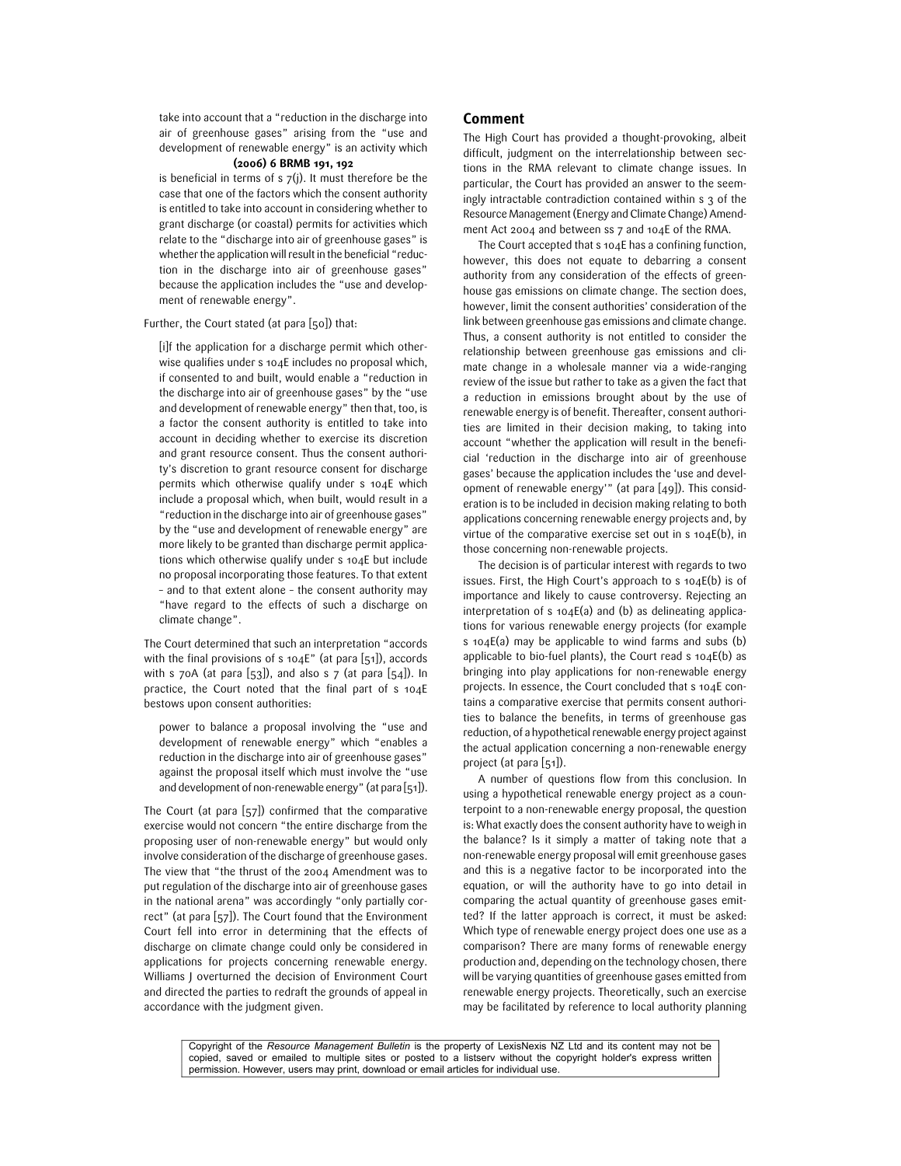take into account that a "reduction in the discharge into air of greenhouse gases" arising from the "use and development of renewable energy" is an activity which

## (2006) 6 BRMB 191, 192

is beneficial in terms of  $s$   $7(j)$ . It must therefore be the case that one of the factors which the consent authority is entitled to take into account in considering whether to grant discharge (or coastal) permits for activities which relate to the "discharge into air of greenhouse gases" is whether the application will result in the beneficial "reduction in the discharge into air of greenhouse gases" because the application includes the "use and development of renewable energy".

#### Further, the Court stated (at para [50]) that:

[i]f the application for a discharge permit which otherwise qualifies under s 104E includes no proposal which, if consented to and built, would enable a "reduction in the discharge into air of greenhouse gases" by the "use and development of renewable energy" then that, too, is a factor the consent authority is entitled to take into account in deciding whether to exercise its discretion and grant resource consent. Thus the consent authority's discretion to grant resource consent for discharge permits which otherwise qualify under s 104E which include a proposal which, when built, would result in a "reduction in the discharge into air of greenhouse gases" by the "use and development of renewable energy" are more likely to be granted than discharge permit applications which otherwise qualify under s 104E but include no proposal incorporating those features. To that extent – and to that extent alone – the consent authority may "have regard to the effects of such a discharge on climate change".

The Court determined that such an interpretation "accords with the final provisions of s  $104E''$  (at para [51]), accords with s 70A (at para  $[53]$ ), and also s 7 (at para  $[54]$ ). In practice, the Court noted that the final part of s 104E bestows upon consent authorities:

power to balance a proposal involving the "use and development of renewable energy" which "enables a reduction in the discharge into air of greenhouse gases" against the proposal itself which must involve the "use and development of non-renewable energy" (at para [51]).

The Court (at para [57]) confirmed that the comparative exercise would not concern "the entire discharge from the proposing user of non-renewable energy" but would only involve consideration of the discharge of greenhouse gases. The view that "the thrust of the 2004 Amendment was to put regulation of the discharge into air of greenhouse gases in the national arena" was accordingly "only partially correct" (at para [57]). The Court found that the Environment Court fell into error in determining that the effects of discharge on climate change could only be considered in applications for projects concerning renewable energy. Williams J overturned the decision of Environment Court and directed the parties to redraft the grounds of appeal in accordance with the judgment given.

#### Comment

The High Court has provided a thought-provoking, albeit difficult, judgment on the interrelationship between sections in the RMA relevant to climate change issues. In particular, the Court has provided an answer to the seemingly intractable contradiction contained within s 3 of the Resource Management (Energy and Climate Change) Amendment Act 2004 and between ss 7 and 104E of the RMA.

The Court accepted that s 104E has a confining function, however, this does not equate to debarring a consent authority from any consideration of the effects of greenhouse gas emissions on climate change. The section does, however, limit the consent authorities' consideration of the link between greenhouse gas emissions and climate change. Thus, a consent authority is not entitled to consider the relationship between greenhouse gas emissions and climate change in a wholesale manner via a wide-ranging review of the issue but rather to take as a given the fact that a reduction in emissions brought about by the use of renewable energy is of benefit. Thereafter, consent authorities are limited in their decision making, to taking into account "whether the application will result in the beneficial 'reduction in the discharge into air of greenhouse gases' because the application includes the 'use and development of renewable energy'" (at para [49]). This consideration is to be included in decision making relating to both applications concerning renewable energy projects and, by virtue of the comparative exercise set out in s 104E(b), in those concerning non-renewable projects.

The decision is of particular interest with regards to two issues. First, the High Court's approach to s 104E(b) is of importance and likely to cause controversy. Rejecting an interpretation of  $s$  104E(a) and (b) as delineating applications for various renewable energy projects (for example s 104E(a) may be applicable to wind farms and subs (b) applicable to bio-fuel plants), the Court read s 104E(b) as bringing into play applications for non-renewable energy projects. In essence, the Court concluded that s 104E contains a comparative exercise that permits consent authorities to balance the benefits, in terms of greenhouse gas reduction, of a hypothetical renewable energy project against the actual application concerning a non-renewable energy project (at para [51]).

A number of questions flow from this conclusion. In using a hypothetical renewable energy project as a counterpoint to a non-renewable energy proposal, the question is: What exactly does the consent authority have to weigh in the balance? Is it simply a matter of taking note that a non-renewable energy proposal will emit greenhouse gases and this is a negative factor to be incorporated into the equation, or will the authority have to go into detail in comparing the actual quantity of greenhouse gases emitted? If the latter approach is correct, it must be asked: Which type of renewable energy project does one use as a comparison? There are many forms of renewable energy production and, depending on the technology chosen, there will be varying quantities of greenhouse gases emitted from renewable energy projects. Theoretically, such an exercise may be facilitated by reference to local authority planning

Copyright of the *Resource Management Bulletin* is the property of LexisNexis NZ Ltd and its content may not be copied, saved or emailed to multiple sites or posted to a listserv without the copyright holder's express written permission. However, users may print, download or email articles for individual use.